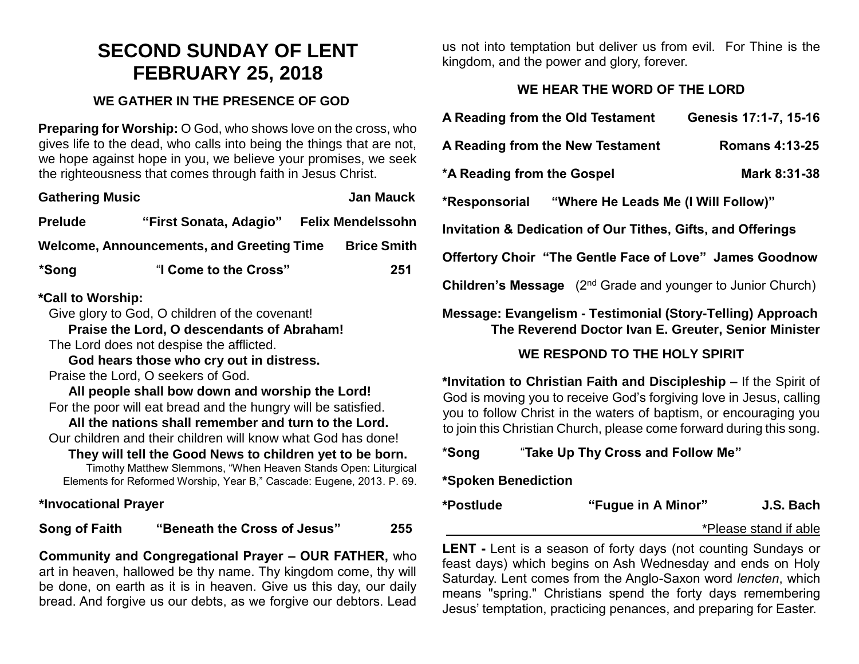# **SECOND SUNDAY OF LENT FEBRUARY 25, 2018**

#### **WE GATHER IN THE PRESENCE OF GOD**

**Preparing for Worship:** O God, who shows love on the cross, who gives life to the dead, who calls into being the things that are not, we hope against hope in you, we believe your promises, we seek the righteousness that comes through faith in Jesus Christ.

| <b>Gathering Music</b>                           |                        |  | <b>Jan Mauck</b>         |
|--------------------------------------------------|------------------------|--|--------------------------|
| <b>Prelude</b>                                   | "First Sonata, Adagio" |  | <b>Felix Mendelssohn</b> |
| <b>Welcome, Announcements, and Greeting Time</b> |                        |  | <b>Brice Smith</b>       |
| *Song                                            | "I Come to the Cross"  |  | 251                      |

## **\*Call to Worship:**

Give glory to God, O children of the covenant!

**Praise the Lord, O descendants of Abraham!**

The Lord does not despise the afflicted.

**God hears those who cry out in distress.**

Praise the Lord, O seekers of God.

**All people shall bow down and worship the Lord!**  For the poor will eat bread and the hungry will be satisfied.

**All the nations shall remember and turn to the Lord.** Our children and their children will know what God has done!

**They will tell the Good News to children yet to be born.**

Timothy Matthew Slemmons, "When Heaven Stands Open: Liturgical Elements for Reformed Worship, Year B," Cascade: Eugene, 2013. P. 69.

**\*Invocational Prayer** 

**Song of Faith "Beneath the Cross of Jesus" 255**

**Community and Congregational Prayer – OUR FATHER,** who art in heaven, hallowed be thy name. Thy kingdom come, thy will be done, on earth as it is in heaven. Give us this day, our daily bread. And forgive us our debts, as we forgive our debtors. Lead us not into temptation but deliver us from evil. For Thine is the kingdom, and the power and glory, forever.

# **WE HEAR THE WORD OF THE LORD**

| A Reading from the Old Testament                                                                                   | Genesis 17:1-7, 15-16 |  |  |  |
|--------------------------------------------------------------------------------------------------------------------|-----------------------|--|--|--|
| A Reading from the New Testament                                                                                   | <b>Romans 4:13-25</b> |  |  |  |
| *A Reading from the Gospel                                                                                         | Mark 8:31-38          |  |  |  |
| "Where He Leads Me (I Will Follow)"<br>*Responsorial                                                               |                       |  |  |  |
| Invitation & Dedication of Our Tithes, Gifts, and Offerings                                                        |                       |  |  |  |
| Offertory Choir "The Gentle Face of Love" James Goodnow                                                            |                       |  |  |  |
| Children's Message (2 <sup>nd</sup> Grade and younger to Junior Church)                                            |                       |  |  |  |
| Message: Evangelism - Testimonial (Story-Telling) Approach<br>The Reverend Doctor Ivan E. Greuter, Senior Minister |                       |  |  |  |

# **WE RESPOND TO THE HOLY SPIRIT**

**\*Invitation to Christian Faith and Discipleship –** If the Spirit of God is moving you to receive God's forgiving love in Jesus, calling you to follow Christ in the waters of baptism, or encouraging you to join this Christian Church, please come forward during this song.

**\*Song** "**Take Up Thy Cross and Follow Me"**

## **\*Spoken Benediction**

**\*Postlude "Fugue in A Minor" J.S. Bach**

\*Please stand if able

**LENT -** Lent is a season of forty days (not counting Sundays or feast days) which begins on Ash Wednesday and ends on Holy Saturday. Lent comes from the Anglo-Saxon word *lencten*, which means "spring." Christians spend the forty days remembering Jesus' temptation, practicing penances, and preparing for Easter.